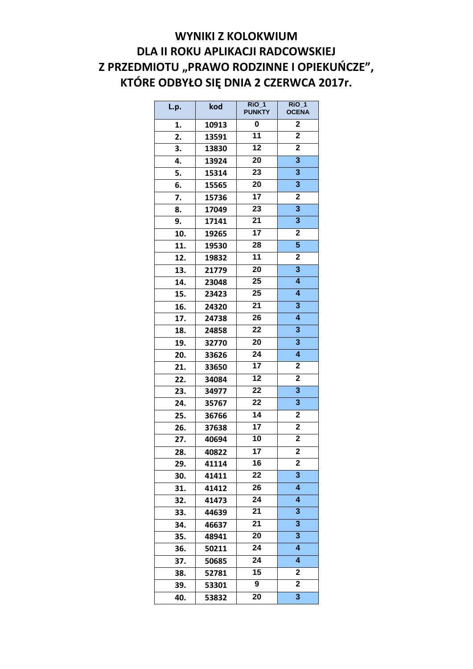## **WYNIKI Z KOLOKWIUM DLA II ROKU APLIKACJI RADCOWSKIEJ Z PRZEDMIOTU "PRAWO RODZINNE I OPIEKUŃCZE", KTÓRE ODBYŁO SIĘ DNIA 2 CZERWCA 2017r.**

| L.p. | kod   | $\overline{R}$ iO 1<br><b>PUNKTY</b> | $\overline{R}$ iO 1<br><b>OCENA</b> |
|------|-------|--------------------------------------|-------------------------------------|
| 1.   | 10913 | 0                                    | $\overline{\mathbf{2}}$             |
| 2.   | 13591 | 11                                   | $\overline{\mathbf{2}}$             |
| 3.   | 13830 | $\overline{12}$                      | $\overline{\mathbf{2}}$             |
| 4.   | 13924 | 20                                   | 3                                   |
| 5.   | 15314 | $\overline{23}$                      | 3                                   |
| 6.   | 15565 | 20                                   | 3                                   |
| 7.   | 15736 | $\overline{17}$                      | $\overline{\mathbf{2}}$             |
| 8.   | 17049 | 23                                   | 3                                   |
| 9.   | 17141 | $\overline{21}$                      | $\overline{\mathbf{3}}$             |
| 10.  | 19265 | $\overline{17}$                      | $\overline{\mathbf{2}}$             |
| 11.  | 19530 | $\overline{28}$                      | $\overline{\mathbf{5}}$             |
| 12.  | 19832 | 11                                   | $\overline{\mathbf{2}}$             |
| 13.  | 21779 | $\overline{20}$                      | $\overline{\mathbf{3}}$             |
| 14.  | 23048 | 25                                   | $\overline{\bf{4}}$                 |
| 15.  | 23423 | 25                                   | $\overline{\mathbf{4}}$             |
| 16.  | 24320 | $\overline{21}$                      | 3                                   |
| 17.  | 24738 | 26                                   | $\overline{\mathbf{4}}$             |
| 18.  | 24858 | 22                                   | 3                                   |
| 19.  | 32770 | 20                                   | 3                                   |
| 20.  | 33626 | $\overline{24}$                      | $\overline{4}$                      |
| 21.  | 33650 | $\overline{17}$                      | $\overline{\mathbf{2}}$             |
| 22.  | 34084 | $\overline{12}$                      | $\overline{\mathbf{2}}$             |
| 23.  | 34977 | $\overline{22}$                      | 3                                   |
| 24.  | 35767 | 22                                   | $\overline{\mathbf{3}}$             |
| 25.  | 36766 | $\overline{14}$                      | $\overline{\mathbf{2}}$             |
| 26.  | 37638 | 17                                   | $\overline{\mathbf{2}}$             |
| 27.  | 40694 | $\overline{1}0$                      | $\overline{\mathbf{2}}$             |
| 28.  | 40822 | $\overline{17}$                      | $\overline{\mathbf{2}}$             |
| 29.  | 41114 | 16                                   | $\overline{\mathbf{2}}$             |
| 30.  | 41411 | 22                                   | 3                                   |
| 31.  | 41412 | 26                                   | 4                                   |
| 32.  | 41473 | 24                                   | 4                                   |
| 33.  | 44639 | 21                                   | 3                                   |
| 34.  | 46637 | 21                                   | 3                                   |
| 35.  | 48941 | 20                                   | 3                                   |
| 36.  | 50211 | 24                                   | 4                                   |
| 37.  | 50685 | 24                                   | 4                                   |
| 38.  | 52781 | 15                                   | $\overline{2}$                      |
| 39.  | 53301 | 9                                    | $\overline{2}$                      |
| 40.  | 53832 | 20                                   | 3                                   |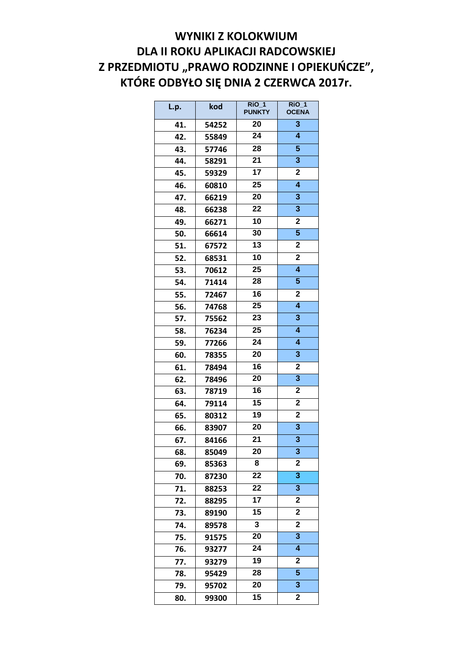## **WYNIKI Z KOLOKWIUM DLA II ROKU APLIKACJI RADCOWSKIEJ Z PRZEDMIOTU "PRAWO RODZINNE I OPIEKUŃCZE", KTÓRE ODBYŁO SIĘ DNIA 2 CZERWCA 2017r.**

| L.p. | kod   | $\overline{R}$ iO_1<br><b>PUNKTY</b> | $\overline{RIO}$ 1<br><b>OCENA</b> |
|------|-------|--------------------------------------|------------------------------------|
| 41.  | 54252 | 20                                   | 3                                  |
| 42.  | 55849 | 24                                   | $\overline{\mathbf{4}}$            |
| 43.  | 57746 | 28                                   | 5                                  |
| 44.  | 58291 | 21                                   | 3                                  |
| 45.  | 59329 | 17                                   | $\mathbf 2$                        |
| 46.  | 60810 | 25                                   | $\overline{\mathbf{4}}$            |
| 47.  | 66219 | 20                                   | 3                                  |
| 48.  | 66238 | 22                                   | 3                                  |
| 49.  | 66271 | 10                                   | $\mathbf 2$                        |
| 50.  | 66614 | 30                                   | 5                                  |
| 51.  | 67572 | 13                                   | $\mathbf 2$                        |
| 52.  | 68531 | 10                                   | $\overline{\mathbf{2}}$            |
| 53.  | 70612 | 25                                   | $\overline{\mathbf{4}}$            |
| 54.  | 71414 | 28                                   | 5                                  |
| 55.  | 72467 | 16                                   | 2                                  |
| 56.  | 74768 | 25                                   | $\overline{\bf{4}}$                |
| 57.  | 75562 | 23                                   | 3                                  |
| 58.  | 76234 | 25                                   | $\overline{\mathbf{4}}$            |
| 59.  | 77266 | 24                                   | $\overline{\mathbf{4}}$            |
| 60.  | 78355 | 20                                   | 3                                  |
| 61.  | 78494 | 16                                   | $\overline{2}$                     |
| 62.  | 78496 | 20                                   | 3                                  |
| 63.  | 78719 | 16                                   | $\overline{\mathbf{2}}$            |
| 64.  | 79114 | 15                                   | 2                                  |
| 65.  | 80312 | 19                                   | $\mathbf 2$                        |
| 66.  | 83907 | 20                                   | 3                                  |
| 67.  | 84166 | 21                                   | 3                                  |
| 68.  | 85049 | 20                                   | 3                                  |
| 69.  | 85363 | 8                                    | $\mathbf 2$                        |
| 70.  | 87230 | 22                                   | 3                                  |
| 71.  | 88253 | 22                                   | 3                                  |
| 72.  | 88295 | 17                                   | $\mathbf 2$                        |
| 73.  | 89190 | 15                                   | 2                                  |
| 74.  | 89578 | 3                                    | $\overline{\mathbf{2}}$            |
| 75.  | 91575 | 20                                   | 3                                  |
| 76.  | 93277 | 24                                   | 4                                  |
| 77.  | 93279 | 19                                   | 2                                  |
| 78.  | 95429 | 28                                   | 5                                  |
| 79.  | 95702 | 20                                   | 3                                  |
| 80.  | 99300 | 15                                   | $\overline{2}$                     |